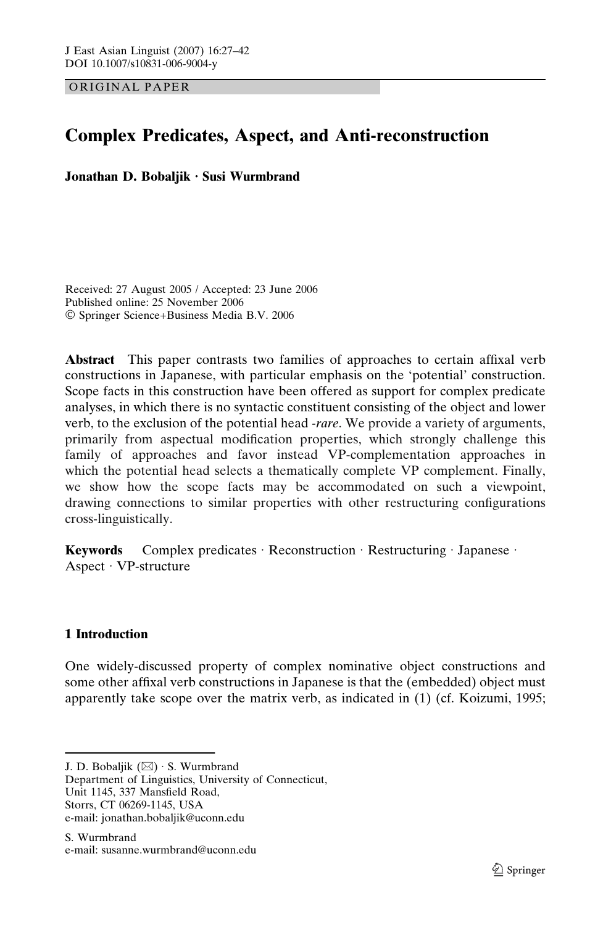ORIGINAL PAPER

# Complex Predicates, Aspect, and Anti-reconstruction

Jonathan D. Bobaljik · Susi Wurmbrand

Received: 27 August 2005 / Accepted: 23 June 2006 Published online: 25 November 2006 Springer Science+Business Media B.V. 2006

Abstract This paper contrasts two families of approaches to certain affixal verb constructions in Japanese, with particular emphasis on the 'potential' construction. Scope facts in this construction have been offered as support for complex predicate analyses, in which there is no syntactic constituent consisting of the object and lower verb, to the exclusion of the potential head *-rare*. We provide a variety of arguments, primarily from aspectual modification properties, which strongly challenge this family of approaches and favor instead VP-complementation approaches in which the potential head selects a thematically complete VP complement. Finally, we show how the scope facts may be accommodated on such a viewpoint, drawing connections to similar properties with other restructuring configurations cross-linguistically.

**Keywords** Complex predicates  $\cdot$  Reconstruction  $\cdot$  Restructuring  $\cdot$  Japanese  $\cdot$ Aspect  $\cdot$  VP-structure

# 1 Introduction

One widely-discussed property of complex nominative object constructions and some other affixal verb constructions in Japanese is that the (embedded) object must apparently take scope over the matrix verb, as indicated in (1) (cf. Koizumi, 1995;

Storrs, CT 06269-1145, USA e-mail: jonathan.bobaljik@uconn.edu

J. D. Bobaljik  $(\boxtimes) \cdot$  S. Wurmbrand

Department of Linguistics, University of Connecticut, Unit 1145, 337 Mansfield Road,

S. Wurmbrand e-mail: susanne.wurmbrand@uconn.edu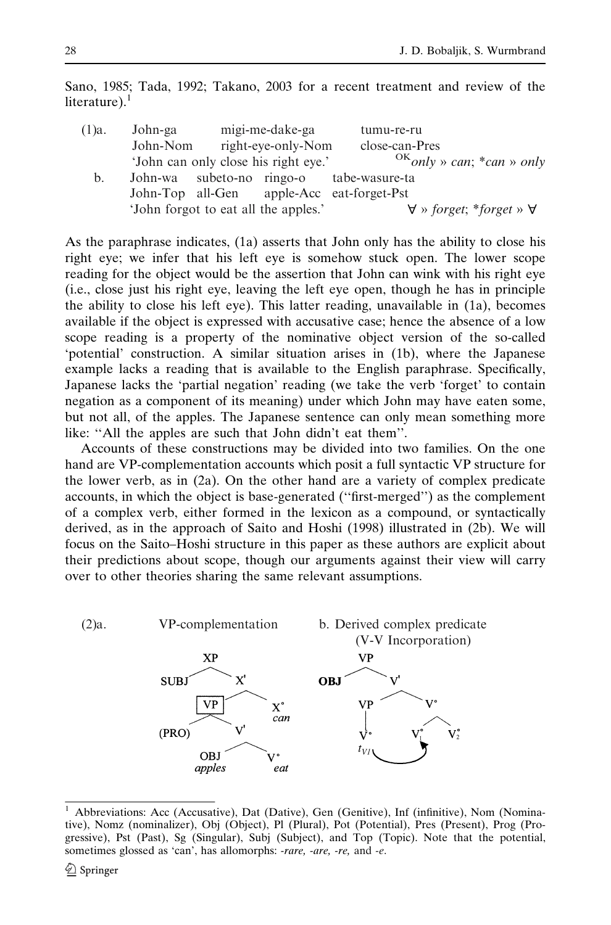Sano, 1985; Tada, 1992; Takano, 2003 for a recent treatment and review of the literature). $<sup>1</sup>$ </sup>

| John-ga |          | tumu-re-ru                                                                                                                                                                                                     |
|---------|----------|----------------------------------------------------------------------------------------------------------------------------------------------------------------------------------------------------------------|
|         |          | close-can-Pres                                                                                                                                                                                                 |
|         |          | $^{OK}$ only » can; *can » only                                                                                                                                                                                |
|         |          |                                                                                                                                                                                                                |
|         |          |                                                                                                                                                                                                                |
|         |          | $\forall$ » forget; *forget » $\forall$                                                                                                                                                                        |
|         | John-Nom | migi-me-dake-ga<br>right-eye-only-Nom<br>'John can only close his right eye.'<br>John-wa subeto-no ringo-o tabe-wasure-ta<br>John-Top all-Gen apple-Acc eat-forget-Pst<br>'John forgot to eat all the apples.' |

As the paraphrase indicates, (1a) asserts that John only has the ability to close his right eye; we infer that his left eye is somehow stuck open. The lower scope reading for the object would be the assertion that John can wink with his right eye (i.e., close just his right eye, leaving the left eye open, though he has in principle the ability to close his left eye). This latter reading, unavailable in (1a), becomes available if the object is expressed with accusative case; hence the absence of a low scope reading is a property of the nominative object version of the so-called 'potential' construction. A similar situation arises in (1b), where the Japanese example lacks a reading that is available to the English paraphrase. Specifically, Japanese lacks the 'partial negation' reading (we take the verb 'forget' to contain negation as a component of its meaning) under which John may have eaten some, but not all, of the apples. The Japanese sentence can only mean something more like: ''All the apples are such that John didn't eat them''.

Accounts of these constructions may be divided into two families. On the one hand are VP-complementation accounts which posit a full syntactic VP structure for the lower verb, as in (2a). On the other hand are a variety of complex predicate accounts, in which the object is base-generated (''first-merged'') as the complement of a complex verb, either formed in the lexicon as a compound, or syntactically derived, as in the approach of Saito and Hoshi (1998) illustrated in (2b). We will focus on the Saito–Hoshi structure in this paper as these authors are explicit about their predictions about scope, though our arguments against their view will carry over to other theories sharing the same relevant assumptions.



<sup>1</sup> Abbreviations: Acc (Accusative), Dat (Dative), Gen (Genitive), Inf (infinitive), Nom (Nominative), Nomz (nominalizer), Obj (Object), Pl (Plural), Pot (Potential), Pres (Present), Prog (Progressive), Pst (Past), Sg (Singular), Subj (Subject), and Top (Topic). Note that the potential, sometimes glossed as 'can', has allomorphs: -rare, -are, -re, and -e.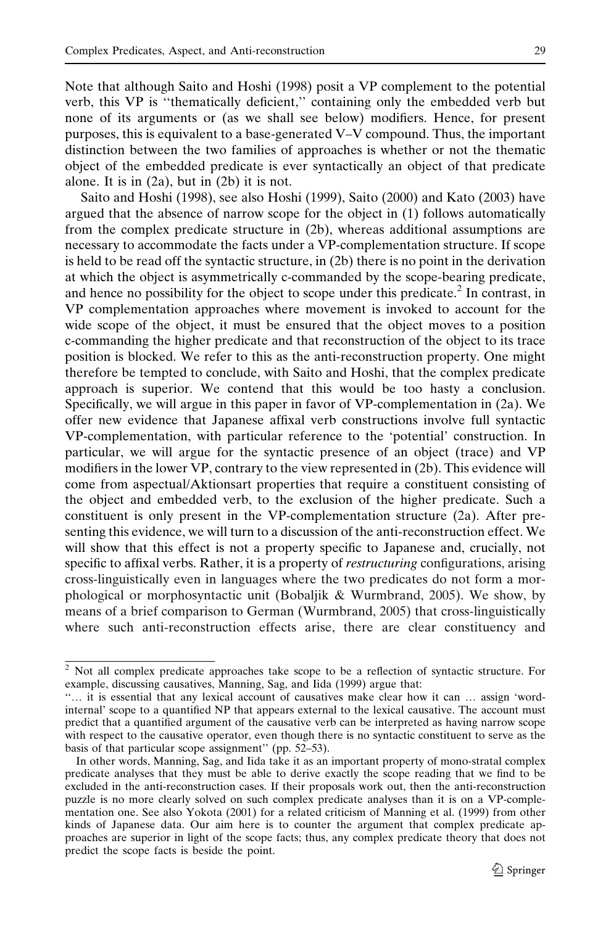Note that although Saito and Hoshi (1998) posit a VP complement to the potential verb, this VP is ''thematically deficient,'' containing only the embedded verb but none of its arguments or (as we shall see below) modifiers. Hence, for present purposes, this is equivalent to a base-generated V–V compound. Thus, the important distinction between the two families of approaches is whether or not the thematic object of the embedded predicate is ever syntactically an object of that predicate alone. It is in (2a), but in (2b) it is not.

Saito and Hoshi (1998), see also Hoshi (1999), Saito (2000) and Kato (2003) have argued that the absence of narrow scope for the object in (1) follows automatically from the complex predicate structure in (2b), whereas additional assumptions are necessary to accommodate the facts under a VP-complementation structure. If scope is held to be read off the syntactic structure, in (2b) there is no point in the derivation at which the object is asymmetrically c-commanded by the scope-bearing predicate, and hence no possibility for the object to scope under this predicate.<sup>2</sup> In contrast, in VP complementation approaches where movement is invoked to account for the wide scope of the object, it must be ensured that the object moves to a position c-commanding the higher predicate and that reconstruction of the object to its trace position is blocked. We refer to this as the anti-reconstruction property. One might therefore be tempted to conclude, with Saito and Hoshi, that the complex predicate approach is superior. We contend that this would be too hasty a conclusion. Specifically, we will argue in this paper in favor of VP-complementation in (2a). We offer new evidence that Japanese affixal verb constructions involve full syntactic VP-complementation, with particular reference to the 'potential' construction. In particular, we will argue for the syntactic presence of an object (trace) and VP modifiers in the lower VP, contrary to the view represented in (2b). This evidence will come from aspectual/Aktionsart properties that require a constituent consisting of the object and embedded verb, to the exclusion of the higher predicate. Such a constituent is only present in the VP-complementation structure (2a). After presenting this evidence, we will turn to a discussion of the anti-reconstruction effect. We will show that this effect is not a property specific to Japanese and, crucially, not specific to affixal verbs. Rather, it is a property of *restructuring* configurations, arising cross-linguistically even in languages where the two predicates do not form a morphological or morphosyntactic unit (Bobaljik & Wurmbrand, 2005). We show, by means of a brief comparison to German (Wurmbrand, 2005) that cross-linguistically where such anti-reconstruction effects arise, there are clear constituency and

<sup>&</sup>lt;sup>2</sup> Not all complex predicate approaches take scope to be a reflection of syntactic structure. For example, discussing causatives, Manning, Sag, and Iida (1999) argue that:

<sup>&#</sup>x27;'… it is essential that any lexical account of causatives make clear how it can … assign 'wordinternal' scope to a quantified NP that appears external to the lexical causative. The account must predict that a quantified argument of the causative verb can be interpreted as having narrow scope with respect to the causative operator, even though there is no syntactic constituent to serve as the basis of that particular scope assignment'' (pp. 52–53).

In other words, Manning, Sag, and Iida take it as an important property of mono-stratal complex predicate analyses that they must be able to derive exactly the scope reading that we find to be excluded in the anti-reconstruction cases. If their proposals work out, then the anti-reconstruction puzzle is no more clearly solved on such complex predicate analyses than it is on a VP-complementation one. See also Yokota (2001) for a related criticism of Manning et al. (1999) from other kinds of Japanese data. Our aim here is to counter the argument that complex predicate approaches are superior in light of the scope facts; thus, any complex predicate theory that does not predict the scope facts is beside the point.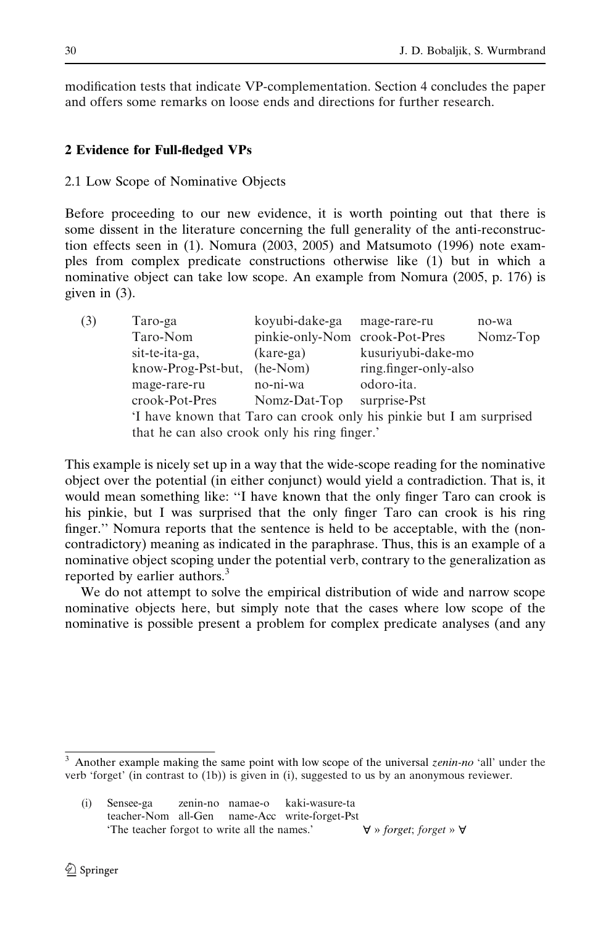modification tests that indicate VP-complementation. Section 4 concludes the paper and offers some remarks on loose ends and directions for further research.

## 2 Evidence for Full-fledged VPs

### 2.1 Low Scope of Nominative Objects

Before proceeding to our new evidence, it is worth pointing out that there is some dissent in the literature concerning the full generality of the anti-reconstruction effects seen in (1). Nomura (2003, 2005) and Matsumoto (1996) note examples from complex predicate constructions otherwise like (1) but in which a nominative object can take low scope. An example from Nomura (2005, p. 176) is given in (3).

| (3) | Taro-ga                                                              | koyubi-dake-ga mage-rare-ru    |                       | no-wa    |
|-----|----------------------------------------------------------------------|--------------------------------|-----------------------|----------|
|     | Taro-Nom                                                             | pinkie-only-Nom crook-Pot-Pres |                       | Nomz-Top |
|     | sit-te-ita-ga,                                                       | $(kare-ga)$                    | kusuriyubi-dake-mo    |          |
|     | know-Prog-Pst-but,                                                   | $(he-Nom)$                     | ring.finger-only-also |          |
|     | mage-rare-ru                                                         | no-ni-wa                       | odoro-ita.            |          |
|     | crook-Pot-Pres                                                       | Nomz-Dat-Top                   | surprise-Pst          |          |
|     | 'I have known that Taro can crook only his pinkie but I am surprised |                                |                       |          |
|     | that he can also crook only his ring finger.'                        |                                |                       |          |
|     |                                                                      |                                |                       |          |

This example is nicely set up in a way that the wide-scope reading for the nominative object over the potential (in either conjunct) would yield a contradiction. That is, it would mean something like: ''I have known that the only finger Taro can crook is his pinkie, but I was surprised that the only finger Taro can crook is his ring finger.'' Nomura reports that the sentence is held to be acceptable, with the (noncontradictory) meaning as indicated in the paraphrase. Thus, this is an example of a nominative object scoping under the potential verb, contrary to the generalization as reported by earlier authors.<sup>3</sup>

We do not attempt to solve the empirical distribution of wide and narrow scope nominative objects here, but simply note that the cases where low scope of the nominative is possible present a problem for complex predicate analyses (and any

 $3$  Another example making the same point with low scope of the universal *zenin-no* 'all' under the verb 'forget' (in contrast to (1b)) is given in (i), suggested to us by an anonymous reviewer.

<sup>(</sup>i) Sensee-ga zenin-no namae-o kaki-wasure-ta teacher-Nom all-Gen name-Acc write-forget-Pst 'The teacher forgot to write all the names.'  $\forall$  » forget; forget »  $\nforall$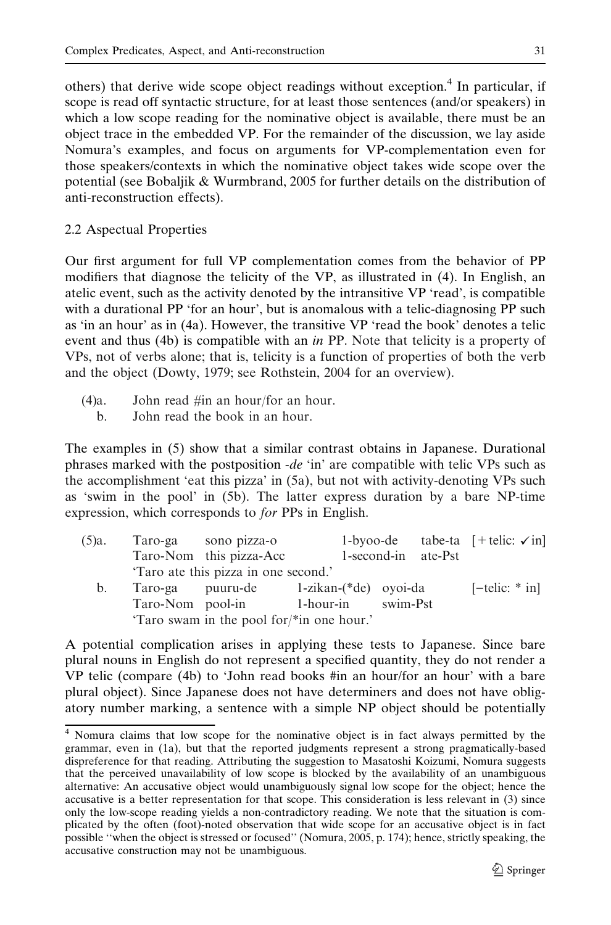others) that derive wide scope object readings without exception.<sup>4</sup> In particular, if scope is read off syntactic structure, for at least those sentences (and/or speakers) in which a low scope reading for the nominative object is available, there must be an object trace in the embedded VP. For the remainder of the discussion, we lay aside Nomura's examples, and focus on arguments for VP-complementation even for those speakers/contexts in which the nominative object takes wide scope over the potential (see Bobaljik & Wurmbrand, 2005 for further details on the distribution of anti-reconstruction effects).

2.2 Aspectual Properties

Our first argument for full VP complementation comes from the behavior of PP modifiers that diagnose the telicity of the VP, as illustrated in (4). In English, an atelic event, such as the activity denoted by the intransitive VP 'read', is compatible with a durational PP 'for an hour', but is anomalous with a telic-diagnosing PP such as 'in an hour' as in (4a). However, the transitive VP 'read the book' denotes a telic event and thus (4b) is compatible with an *in* PP. Note that telicity is a property of VPs, not of verbs alone; that is, telicity is a function of properties of both the verb and the object (Dowty, 1979; see Rothstein, 2004 for an overview).

- (4)a. John read #in an hour/for an hour.
	- b. John read the book in an hour.

The examples in (5) show that a similar contrast obtains in Japanese. Durational phrases marked with the postposition  $-de 'in'$  are compatible with telic VPs such as the accomplishment 'eat this pizza' in (5a), but not with activity-denoting VPs such as 'swim in the pool' in (5b). The latter express duration by a bare NP-time expression, which corresponds to for PPs in English.

| $(5)a$ . |                  | Taro-ga sono pizza-o                      |                    |                     | 1-byoo-de tabe-ta $[+$ telic: $\checkmark$ in |
|----------|------------------|-------------------------------------------|--------------------|---------------------|-----------------------------------------------|
|          |                  | Taro-Nom this pizza-Acc                   |                    | 1-second-in ate-Pst |                                               |
|          |                  | 'Taro ate this pizza in one second.'      |                    |                     |                                               |
| b.       |                  | Taro-ga puuru-de 1-zikan-(*de) oyoi-da    |                    |                     | $[-\text{telic}: * \text{in}]$                |
|          | Taro-Nom pool-in |                                           | 1-hour-in swim-Pst |                     |                                               |
|          |                  | 'Taro swam in the pool for/*in one hour.' |                    |                     |                                               |

A potential complication arises in applying these tests to Japanese. Since bare plural nouns in English do not represent a specified quantity, they do not render a VP telic (compare (4b) to 'John read books #in an hour/for an hour' with a bare plural object). Since Japanese does not have determiners and does not have obligatory number marking, a sentence with a simple NP object should be potentially

<sup>4</sup> Nomura claims that low scope for the nominative object is in fact always permitted by the grammar, even in (1a), but that the reported judgments represent a strong pragmatically-based dispreference for that reading. Attributing the suggestion to Masatoshi Koizumi, Nomura suggests that the perceived unavailability of low scope is blocked by the availability of an unambiguous alternative: An accusative object would unambiguously signal low scope for the object; hence the accusative is a better representation for that scope. This consideration is less relevant in (3) since only the low-scope reading yields a non-contradictory reading. We note that the situation is complicated by the often (foot)-noted observation that wide scope for an accusative object is in fact possible ''when the object is stressed or focused'' (Nomura, 2005, p. 174); hence, strictly speaking, the accusative construction may not be unambiguous.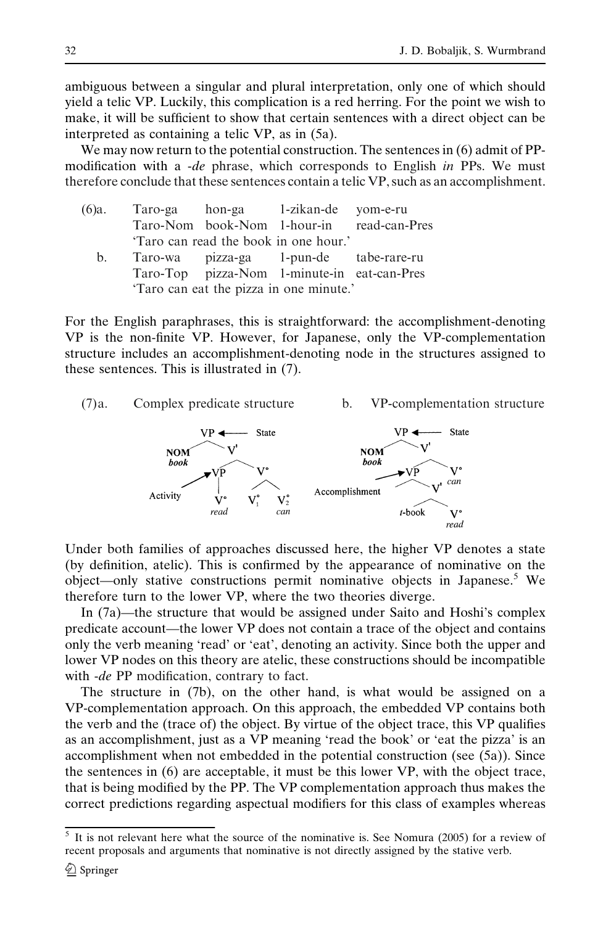ambiguous between a singular and plural interpretation, only one of which should yield a telic VP. Luckily, this complication is a red herring. For the point we wish to make, it will be sufficient to show that certain sentences with a direct object can be interpreted as containing a telic VP, as in (5a).

We may now return to the potential construction. The sentences in (6) admit of PPmodification with a -de phrase, which corresponds to English in PPs. We must therefore conclude that these sentences contain a telic VP, such as an accomplishment.

| (6)a. |                                         |  | Taro-ga hon-ga 1-zikan-de yom-e-ru     |                                             |  |  |
|-------|-----------------------------------------|--|----------------------------------------|---------------------------------------------|--|--|
|       |                                         |  |                                        | Taro-Nom book-Nom 1-hour-in read-can-Pres   |  |  |
|       |                                         |  | 'Taro can read the book in one hour.'  |                                             |  |  |
| b.    |                                         |  | Taro-wa pizza-ga 1-pun-de tabe-rare-ru |                                             |  |  |
|       |                                         |  |                                        | Taro-Top pizza-Nom 1-minute-in eat-can-Pres |  |  |
|       | 'Taro can eat the pizza in one minute.' |  |                                        |                                             |  |  |

For the English paraphrases, this is straightforward: the accomplishment-denoting VP is the non-finite VP. However, for Japanese, only the VP-complementation structure includes an accomplishment-denoting node in the structures assigned to these sentences. This is illustrated in (7).



Under both families of approaches discussed here, the higher VP denotes a state (by definition, atelic). This is confirmed by the appearance of nominative on the object—only stative constructions permit nominative objects in Japanese.<sup>5</sup> We therefore turn to the lower VP, where the two theories diverge.

In (7a)—the structure that would be assigned under Saito and Hoshi's complex predicate account—the lower VP does not contain a trace of the object and contains only the verb meaning 'read' or 'eat', denoting an activity. Since both the upper and lower VP nodes on this theory are atelic, these constructions should be incompatible with -de PP modification, contrary to fact.

The structure in (7b), on the other hand, is what would be assigned on a VP-complementation approach. On this approach, the embedded VP contains both the verb and the (trace of) the object. By virtue of the object trace, this VP qualifies as an accomplishment, just as a VP meaning 'read the book' or 'eat the pizza' is an accomplishment when not embedded in the potential construction (see (5a)). Since the sentences in (6) are acceptable, it must be this lower VP, with the object trace, that is being modified by the PP. The VP complementation approach thus makes the correct predictions regarding aspectual modifiers for this class of examples whereas

<sup>5</sup> It is not relevant here what the source of the nominative is. See Nomura (2005) for a review of recent proposals and arguments that nominative is not directly assigned by the stative verb.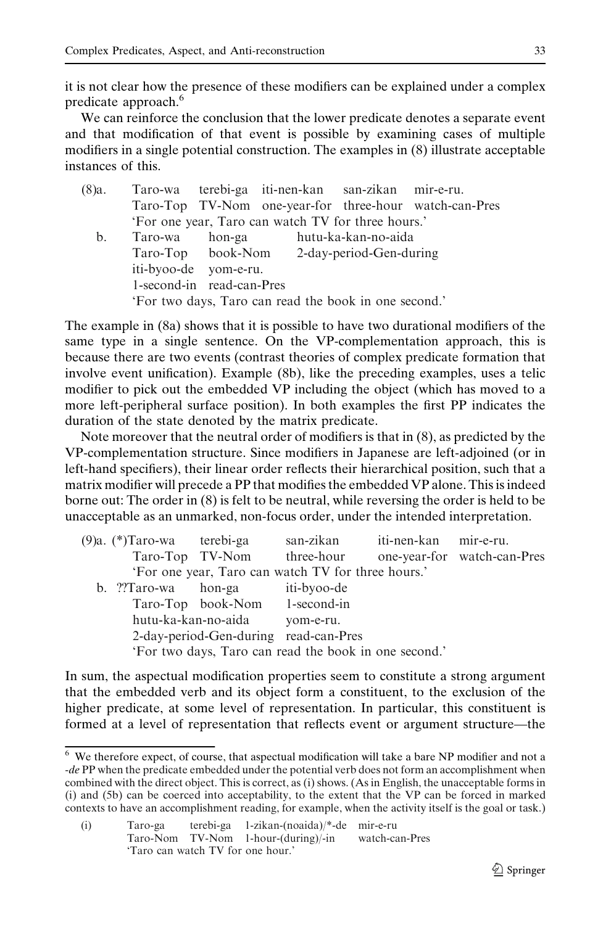it is not clear how the presence of these modifiers can be explained under a complex predicate approach.<sup>6</sup>

We can reinforce the conclusion that the lower predicate denotes a separate event and that modification of that event is possible by examining cases of multiple modifiers in a single potential construction. The examples in (8) illustrate acceptable instances of this.

| $(8)a$ . |                           | Taro-wa terebi-ga iti-nen-kan san-zikan mir-e-ru.     |                                                        |
|----------|---------------------------|-------------------------------------------------------|--------------------------------------------------------|
|          |                           |                                                       | Taro-Top TV-Nom one-year-for three-hour watch-can-Pres |
|          |                           | 'For one year, Taro can watch TV for three hours.'    |                                                        |
| b.       |                           | Taro-wa hon-ga hutu-ka-kan-no-aida                    |                                                        |
|          |                           | Taro-Top book-Nom 2-day-period-Gen-during             |                                                        |
|          | iti-byoo-de yom-e-ru.     |                                                       |                                                        |
|          | 1-second-in read-can-Pres |                                                       |                                                        |
|          |                           | 'For two days, Taro can read the book in one second.' |                                                        |

The example in (8a) shows that it is possible to have two durational modifiers of the same type in a single sentence. On the VP-complementation approach, this is because there are two events (contrast theories of complex predicate formation that involve event unification). Example (8b), like the preceding examples, uses a telic modifier to pick out the embedded VP including the object (which has moved to a more left-peripheral surface position). In both examples the first PP indicates the duration of the state denoted by the matrix predicate.

Note moreover that the neutral order of modifiers is that in (8), as predicted by the VP-complementation structure. Since modifiers in Japanese are left-adjoined (or in left-hand specifiers), their linear order reflects their hierarchical position, such that a matrix modifier will precede a PP that modifies the embedded VP alone. This is indeed borne out: The order in (8) is felt to be neutral, while reversing the order is held to be unacceptable as an unmarked, non-focus order, under the intended interpretation.

| (9)a. (*)Taro-wa terebi-ga                            |           | san-zikan iti-nen-kan mir-e-ru. |                             |
|-------------------------------------------------------|-----------|---------------------------------|-----------------------------|
| Taro-Top TV-Nom three-hour                            |           |                                 | one-year-for watch-can-Pres |
| 'For one year, Taro can watch TV for three hours.'    |           |                                 |                             |
| b. ??Taro-wa hon-ga iti-byoo-de                       |           |                                 |                             |
| Taro-Top book-Nom 1-second-in                         |           |                                 |                             |
| hutu-ka-kan-no-aida                                   | vom-e-ru. |                                 |                             |
| 2-day-period-Gen-during read-can-Pres                 |           |                                 |                             |
| 'For two days, Taro can read the book in one second.' |           |                                 |                             |

In sum, the aspectual modification properties seem to constitute a strong argument that the embedded verb and its object form a constituent, to the exclusion of the higher predicate, at some level of representation. In particular, this constituent is formed at a level of representation that reflects event or argument structure—the

| (i) | Taro-ga                           | terebi-ga 1-zikan-(noaida)/*-de mir-e-ru |                |
|-----|-----------------------------------|------------------------------------------|----------------|
|     |                                   | Taro-Nom TV-Nom 1-hour-(during)/-in      | watch-can-Pres |
|     | 'Taro can watch TV for one hour.' |                                          |                |

<sup>6</sup> We therefore expect, of course, that aspectual modification will take a bare NP modifier and not a -de PP when the predicate embedded under the potential verb does not form an accomplishment when combined with the direct object. This is correct, as (i) shows. (As in English, the unacceptable forms in (i) and (5b) can be coerced into acceptability, to the extent that the VP can be forced in marked contexts to have an accomplishment reading, for example, when the activity itself is the goal or task.)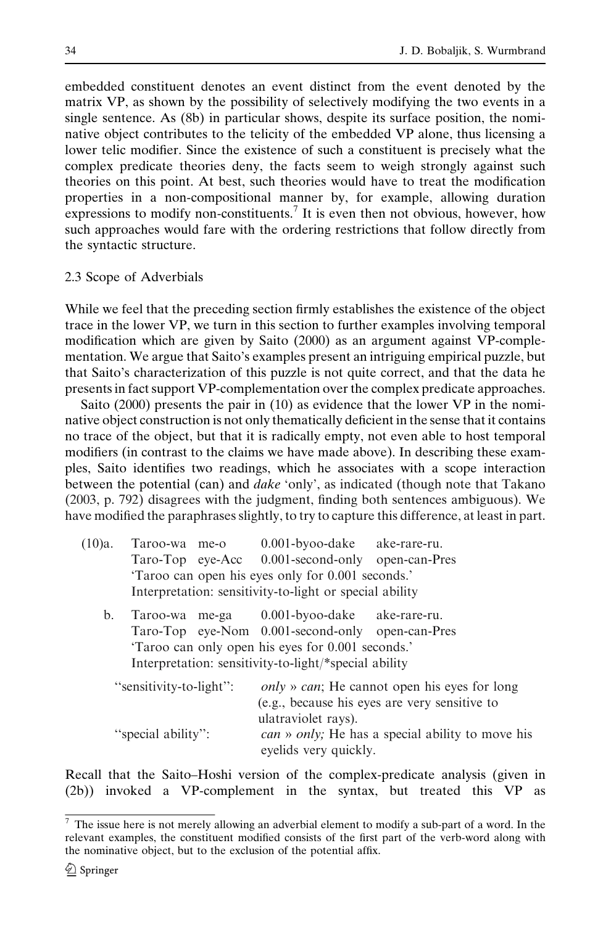embedded constituent denotes an event distinct from the event denoted by the matrix VP, as shown by the possibility of selectively modifying the two events in a single sentence. As (8b) in particular shows, despite its surface position, the nominative object contributes to the telicity of the embedded VP alone, thus licensing a lower telic modifier. Since the existence of such a constituent is precisely what the complex predicate theories deny, the facts seem to weigh strongly against such theories on this point. At best, such theories would have to treat the modification properties in a non-compositional manner by, for example, allowing duration expressions to modify non-constituents.<sup> $\prime$ </sup> It is even then not obvious, however, how such approaches would fare with the ordering restrictions that follow directly from the syntactic structure.

#### 2.3 Scope of Adverbials

While we feel that the preceding section firmly establishes the existence of the object trace in the lower VP, we turn in this section to further examples involving temporal modification which are given by Saito (2000) as an argument against VP-complementation. We argue that Saito's examples present an intriguing empirical puzzle, but that Saito's characterization of this puzzle is not quite correct, and that the data he presents in fact support VP-complementation over the complex predicate approaches.

Saito (2000) presents the pair in (10) as evidence that the lower VP in the nominative object construction is not only thematically deficient in the sense that it contains no trace of the object, but that it is radically empty, not even able to host temporal modifiers (in contrast to the claims we have made above). In describing these examples, Saito identifies two readings, which he associates with a scope interaction between the potential (can) and *dake* 'only', as indicated (though note that Takano (2003, p. 792) disagrees with the judgment, finding both sentences ambiguous). We have modified the paraphrases slightly, to try to capture this difference, at least in part.

| (10)a. | Taroo-wa me-o    | $0.001$ -byoo-dake                                      | ake-rare-ru. |
|--------|------------------|---------------------------------------------------------|--------------|
|        | Taro-Top eye-Acc | 0.001-second-only open-can-Pres                         |              |
|        |                  | 'Taroo can open his eyes only for 0.001 seconds.'       |              |
|        |                  | Interpretation: sensitivity-to-light or special ability |              |

b. Taroo-wa me-ga 0.001-byoo-dake ake-rare-ru. Taro-Top eye-Nom 0.001-second-only open-can-Pres 'Taroo can only open his eyes for 0.001 seconds.' Interpretation: sensitivity-to-light/\*special ability

| "sensitivity-to-light": | <i>only » can</i> ; He cannot open his eyes for long            |
|-------------------------|-----------------------------------------------------------------|
|                         | (e.g., because his eyes are very sensitive to                   |
|                         | ulatraviolet rays).                                             |
| "special ability":      | <i>can</i> » <i>only</i> ; He has a special ability to move his |
|                         | evelids very quickly.                                           |

Recall that the Saito–Hoshi version of the complex-predicate analysis (given in (2b)) invoked a VP-complement in the syntax, but treated this VP as

 $7$  The issue here is not merely allowing an adverbial element to modify a sub-part of a word. In the relevant examples, the constituent modified consists of the first part of the verb-word along with the nominative object, but to the exclusion of the potential affix.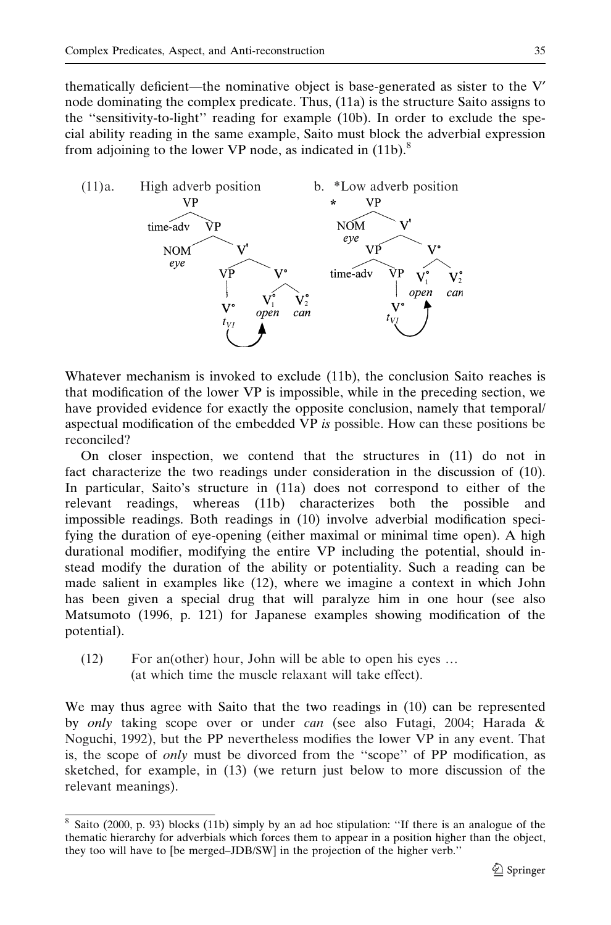thematically deficient—the nominative object is base-generated as sister to the  $V'$ node dominating the complex predicate. Thus, (11a) is the structure Saito assigns to the ''sensitivity-to-light'' reading for example (10b). In order to exclude the special ability reading in the same example, Saito must block the adverbial expression from adjoining to the lower VP node, as indicated in  $(11b)$ <sup>8</sup>



Whatever mechanism is invoked to exclude (11b), the conclusion Saito reaches is that modification of the lower VP is impossible, while in the preceding section, we have provided evidence for exactly the opposite conclusion, namely that temporal/ aspectual modification of the embedded VP is possible. How can these positions be reconciled?

On closer inspection, we contend that the structures in (11) do not in fact characterize the two readings under consideration in the discussion of (10). In particular, Saito's structure in (11a) does not correspond to either of the relevant readings, whereas (11b) characterizes both the possible and impossible readings. Both readings in (10) involve adverbial modification specifying the duration of eye-opening (either maximal or minimal time open). A high durational modifier, modifying the entire VP including the potential, should instead modify the duration of the ability or potentiality. Such a reading can be made salient in examples like (12), where we imagine a context in which John has been given a special drug that will paralyze him in one hour (see also Matsumoto (1996, p. 121) for Japanese examples showing modification of the potential).

(12) For an(other) hour, John will be able to open his eyes … (at which time the muscle relaxant will take effect).

We may thus agree with Saito that the two readings in (10) can be represented by only taking scope over or under can (see also Futagi, 2004; Harada & Noguchi, 1992), but the PP nevertheless modifies the lower VP in any event. That is, the scope of *only* must be divorced from the "scope" of PP modification, as sketched, for example, in (13) (we return just below to more discussion of the relevant meanings).

<sup>8</sup> Saito (2000, p. 93) blocks (11b) simply by an ad hoc stipulation: ''If there is an analogue of the thematic hierarchy for adverbials which forces them to appear in a position higher than the object, they too will have to [be merged–JDB/SW] in the projection of the higher verb.''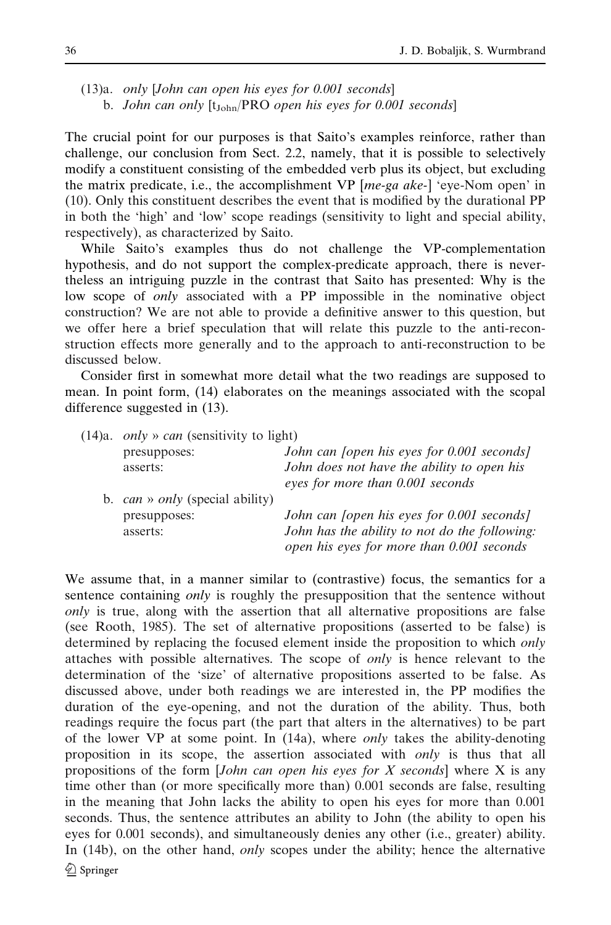(13)a. only [John can open his eyes for 0.001 seconds] b. John can only  $[t_{John}/PRO$  open his eyes for 0.001 seconds]

The crucial point for our purposes is that Saito's examples reinforce, rather than challenge, our conclusion from Sect. 2.2, namely, that it is possible to selectively modify a constituent consisting of the embedded verb plus its object, but excluding the matrix predicate, i.e., the accomplishment VP [me-ga ake-] 'eye-Nom open' in (10). Only this constituent describes the event that is modified by the durational PP in both the 'high' and 'low' scope readings (sensitivity to light and special ability, respectively), as characterized by Saito.

While Saito's examples thus do not challenge the VP-complementation hypothesis, and do not support the complex-predicate approach, there is nevertheless an intriguing puzzle in the contrast that Saito has presented: Why is the low scope of *only* associated with a PP impossible in the nominative object construction? We are not able to provide a definitive answer to this question, but we offer here a brief speculation that will relate this puzzle to the anti-reconstruction effects more generally and to the approach to anti-reconstruction to be discussed below.

Consider first in somewhat more detail what the two readings are supposed to mean. In point form, (14) elaborates on the meanings associated with the scopal difference suggested in (13).

| $(14)a$ . <i>only</i> » <i>can</i> (sensitivity to light) |                                                   |
|-----------------------------------------------------------|---------------------------------------------------|
| presupposes:                                              | John can <i>(open his eyes for 0.001 seconds)</i> |
| asserts:                                                  | John does not have the ability to open his        |
|                                                           | eyes for more than 0.001 seconds                  |
| b. $can \rightarrow only$ (special ability)               |                                                   |
| presupposes:                                              | John can <i>[open his eyes for 0.001 seconds]</i> |
| asserts:                                                  | John has the ability to not do the following:     |
|                                                           | open his eyes for more than 0.001 seconds         |
|                                                           |                                                   |

We assume that, in a manner similar to (contrastive) focus, the semantics for a sentence containing *only* is roughly the presupposition that the sentence without only is true, along with the assertion that all alternative propositions are false (see Rooth, 1985). The set of alternative propositions (asserted to be false) is determined by replacing the focused element inside the proposition to which only attaches with possible alternatives. The scope of only is hence relevant to the determination of the 'size' of alternative propositions asserted to be false. As discussed above, under both readings we are interested in, the PP modifies the duration of the eye-opening, and not the duration of the ability. Thus, both readings require the focus part (the part that alters in the alternatives) to be part of the lower VP at some point. In  $(14a)$ , where *only* takes the ability-denoting proposition in its scope, the assertion associated with *only* is thus that all propositions of the form  $[John can open his eyes for X seconds]$  where X is any time other than (or more specifically more than) 0.001 seconds are false, resulting in the meaning that John lacks the ability to open his eyes for more than 0.001 seconds. Thus, the sentence attributes an ability to John (the ability to open his eyes for 0.001 seconds), and simultaneously denies any other (i.e., greater) ability. In (14b), on the other hand, *only* scopes under the ability; hence the alternative <sup>2</sup> Springer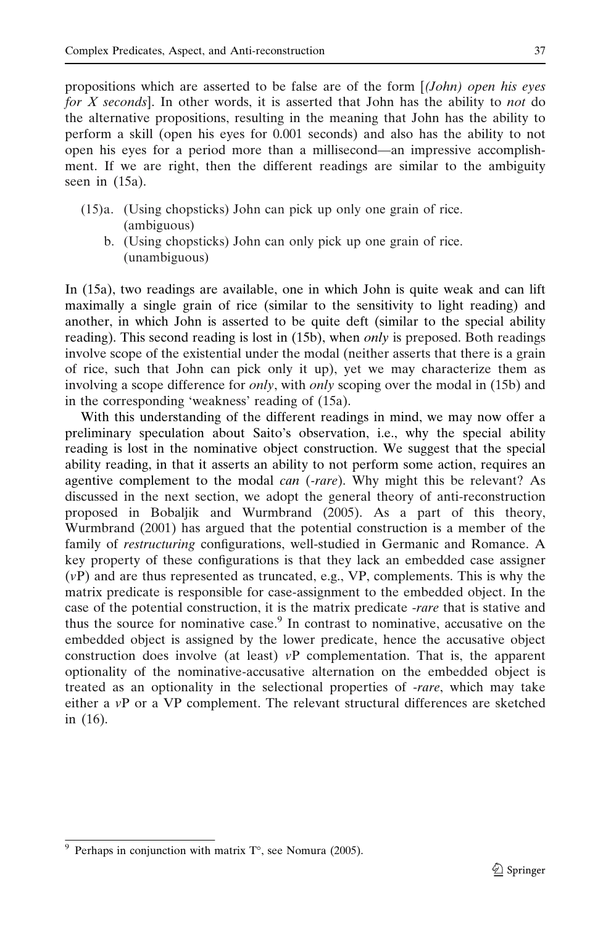propositions which are asserted to be false are of the form  $(John)$  open his eyes for X seconds]. In other words, it is asserted that John has the ability to not do the alternative propositions, resulting in the meaning that John has the ability to perform a skill (open his eyes for 0.001 seconds) and also has the ability to not open his eyes for a period more than a millisecond—an impressive accomplishment. If we are right, then the different readings are similar to the ambiguity seen in (15a).

- (15)a. (Using chopsticks) John can pick up only one grain of rice. (ambiguous)
	- b. (Using chopsticks) John can only pick up one grain of rice. (unambiguous)

In (15a), two readings are available, one in which John is quite weak and can lift maximally a single grain of rice (similar to the sensitivity to light reading) and another, in which John is asserted to be quite deft (similar to the special ability reading). This second reading is lost in (15b), when *only* is preposed. Both readings involve scope of the existential under the modal (neither asserts that there is a grain of rice, such that John can pick only it up), yet we may characterize them as involving a scope difference for *only*, with *only* scoping over the modal in (15b) and in the corresponding 'weakness' reading of (15a).

With this understanding of the different readings in mind, we may now offer a preliminary speculation about Saito's observation, i.e., why the special ability reading is lost in the nominative object construction. We suggest that the special ability reading, in that it asserts an ability to not perform some action, requires an agentive complement to the modal *can* (-rare). Why might this be relevant? As discussed in the next section, we adopt the general theory of anti-reconstruction proposed in Bobaljik and Wurmbrand (2005). As a part of this theory, Wurmbrand (2001) has argued that the potential construction is a member of the family of restructuring configurations, well-studied in Germanic and Romance. A key property of these configurations is that they lack an embedded case assigner  $(vP)$  and are thus represented as truncated, e.g., VP, complements. This is why the matrix predicate is responsible for case-assignment to the embedded object. In the case of the potential construction, it is the matrix predicate -rare that is stative and thus the source for nominative case.<sup>9</sup> In contrast to nominative, accusative on the embedded object is assigned by the lower predicate, hence the accusative object construction does involve (at least)  $vP$  complementation. That is, the apparent optionality of the nominative-accusative alternation on the embedded object is treated as an optionality in the selectional properties of -rare, which may take either a vP or a VP complement. The relevant structural differences are sketched in (16).

<sup>&</sup>lt;sup>9</sup> Perhaps in conjunction with matrix  $T^{\circ}$ , see Nomura (2005).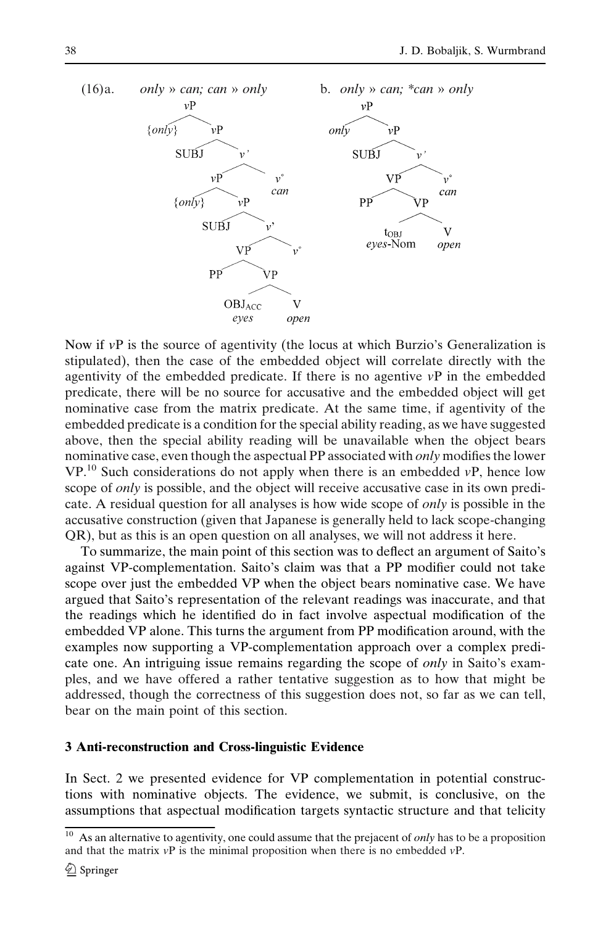

Now if vP is the source of agentivity (the locus at which Burzio's Generalization is stipulated), then the case of the embedded object will correlate directly with the agentivity of the embedded predicate. If there is no agentive  $v\mathbf{P}$  in the embedded predicate, there will be no source for accusative and the embedded object will get nominative case from the matrix predicate. At the same time, if agentivity of the embedded predicate is a condition for the special ability reading, as we have suggested above, then the special ability reading will be unavailable when the object bears nominative case, even though the aspectual PP associated with *only* modifies the lower  $VP<sup>10</sup>$  Such considerations do not apply when there is an embedded  $VP$ , hence low scope of *only* is possible, and the object will receive accusative case in its own predicate. A residual question for all analyses is how wide scope of only is possible in the accusative construction (given that Japanese is generally held to lack scope-changing QR), but as this is an open question on all analyses, we will not address it here.

To summarize, the main point of this section was to deflect an argument of Saito's against VP-complementation. Saito's claim was that a PP modifier could not take scope over just the embedded VP when the object bears nominative case. We have argued that Saito's representation of the relevant readings was inaccurate, and that the readings which he identified do in fact involve aspectual modification of the embedded VP alone. This turns the argument from PP modification around, with the examples now supporting a VP-complementation approach over a complex predicate one. An intriguing issue remains regarding the scope of *only* in Saito's examples, and we have offered a rather tentative suggestion as to how that might be addressed, though the correctness of this suggestion does not, so far as we can tell, bear on the main point of this section.

#### 3 Anti-reconstruction and Cross-linguistic Evidence

In Sect. 2 we presented evidence for VP complementation in potential constructions with nominative objects. The evidence, we submit, is conclusive, on the assumptions that aspectual modification targets syntactic structure and that telicity

<sup>&</sup>lt;sup>10</sup> As an alternative to agentivity, one could assume that the prejacent of *only* has to be a proposition and that the matrix  $vP$  is the minimal proposition when there is no embedded  $vP$ .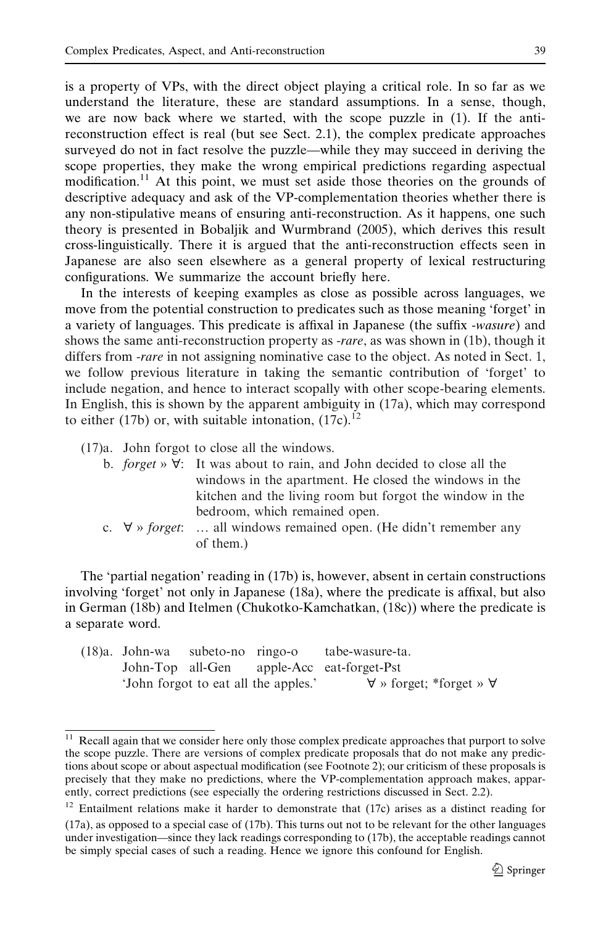is a property of VPs, with the direct object playing a critical role. In so far as we understand the literature, these are standard assumptions. In a sense, though, we are now back where we started, with the scope puzzle in (1). If the antireconstruction effect is real (but see Sect. 2.1), the complex predicate approaches surveyed do not in fact resolve the puzzle—while they may succeed in deriving the scope properties, they make the wrong empirical predictions regarding aspectual modification.<sup>11</sup> At this point, we must set aside those theories on the grounds of descriptive adequacy and ask of the VP-complementation theories whether there is any non-stipulative means of ensuring anti-reconstruction. As it happens, one such theory is presented in Bobaljik and Wurmbrand (2005), which derives this result cross-linguistically. There it is argued that the anti-reconstruction effects seen in Japanese are also seen elsewhere as a general property of lexical restructuring configurations. We summarize the account briefly here.

In the interests of keeping examples as close as possible across languages, we move from the potential construction to predicates such as those meaning 'forget' in a variety of languages. This predicate is affixal in Japanese (the suffix -wasure) and shows the same anti-reconstruction property as -rare, as was shown in (1b), though it differs from *-rare* in not assigning nominative case to the object. As noted in Sect. 1, we follow previous literature in taking the semantic contribution of 'forget' to include negation, and hence to interact scopally with other scope-bearing elements. In English, this is shown by the apparent ambiguity in (17a), which may correspond to either (17b) or, with suitable intonation,  $(17c)^{12}$ 

- (17)a. John forgot to close all the windows.
	- b. *forget* »  $\forall$ : It was about to rain, and John decided to close all the windows in the apartment. He closed the windows in the kitchen and the living room but forgot the window in the bedroom, which remained open.
	- c.  $\forall$  » forget: ... all windows remained open. (He didn't remember any of them.)

The 'partial negation' reading in (17b) is, however, absent in certain constructions involving 'forget' not only in Japanese (18a), where the predicate is affixal, but also in German (18b) and Itelmen (Chukotko-Kamchatkan, (18c)) where the predicate is a separate word.

|  | $(18)a$ . John-wa subeto-no ringo-o |                                      | tabe-wasure-ta.                           |  |
|--|-------------------------------------|--------------------------------------|-------------------------------------------|--|
|  |                                     |                                      | John-Top all-Gen apple-Acc eat-forget-Pst |  |
|  |                                     | 'John forgot to eat all the apples.' | $\forall$ » forget; *forget » $\forall$   |  |

<sup>&</sup>lt;sup>11</sup> Recall again that we consider here only those complex predicate approaches that purport to solve the scope puzzle. There are versions of complex predicate proposals that do not make any predictions about scope or about aspectual modification (see Footnote 2); our criticism of these proposals is precisely that they make no predictions, where the VP-complementation approach makes, apparently, correct predictions (see especially the ordering restrictions discussed in Sect. 2.2).

 $12$  Entailment relations make it harder to demonstrate that (17c) arises as a distinct reading for (17a), as opposed to a special case of (17b). This turns out not to be relevant for the other languages under investigation—since they lack readings corresponding to (17b), the acceptable readings cannot be simply special cases of such a reading. Hence we ignore this confound for English.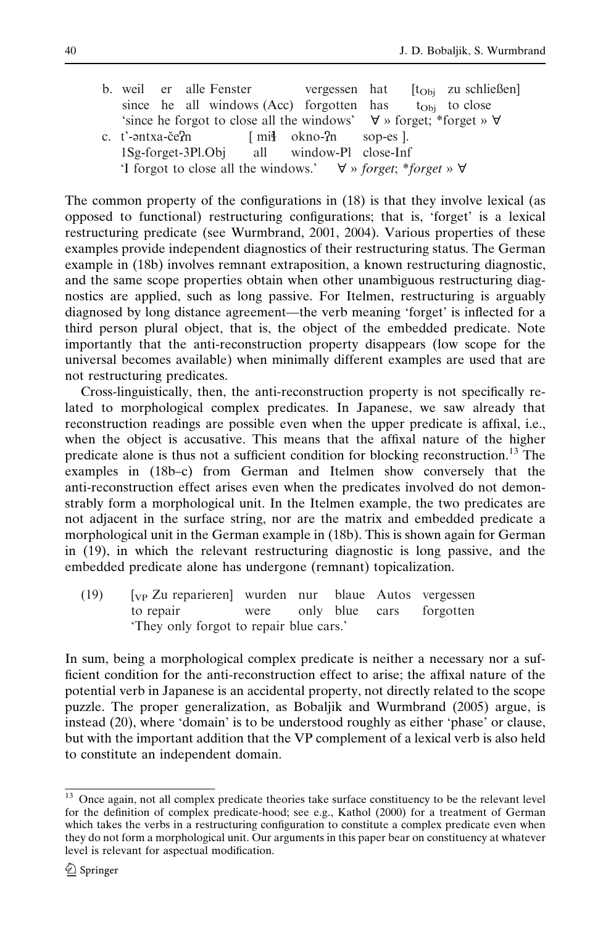b. weil er alle Fenster vergessen hat  $[t_{Obj}$  zu schließen]<br>since he all windows (Acc) forgotten has  $t_{Obj}$  to close since he all windows (Acc) forgotten has  $t_{Obj}$  to close<br>'since he forgot to close all the windows'  $\forall$  » forget: \*forget »  $\forall$ 'since he forgot to close all the windows' c. t'- <sup>e</sup> ntxa-cˇe n [ mi okno- n sop-es ]. 1Sg-forget-3Pl.Obj all window-Pl close-Inf 'I forgot to close all the windows.'  $\forall$  » forget; \*forget »  $\forall$ 

The common property of the configurations in (18) is that they involve lexical (as opposed to functional) restructuring configurations; that is, 'forget' is a lexical restructuring predicate (see Wurmbrand, 2001, 2004). Various properties of these examples provide independent diagnostics of their restructuring status. The German example in (18b) involves remnant extraposition, a known restructuring diagnostic, and the same scope properties obtain when other unambiguous restructuring diagnostics are applied, such as long passive. For Itelmen, restructuring is arguably diagnosed by long distance agreement—the verb meaning 'forget' is inflected for a third person plural object, that is, the object of the embedded predicate. Note importantly that the anti-reconstruction property disappears (low scope for the universal becomes available) when minimally different examples are used that are not restructuring predicates.

Cross-linguistically, then, the anti-reconstruction property is not specifically related to morphological complex predicates. In Japanese, we saw already that reconstruction readings are possible even when the upper predicate is affixal, i.e., when the object is accusative. This means that the affixal nature of the higher predicate alone is thus not a sufficient condition for blocking reconstruction.<sup>13</sup> The examples in (18b–c) from German and Itelmen show conversely that the anti-reconstruction effect arises even when the predicates involved do not demonstrably form a morphological unit. In the Itelmen example, the two predicates are not adjacent in the surface string, nor are the matrix and embedded predicate a morphological unit in the German example in (18b). This is shown again for German in (19), in which the relevant restructuring diagnostic is long passive, and the embedded predicate alone has undergone (remnant) topicalization.

(19) [VP Zu reparieren] wurden nur blaue Autos vergessen to repair were only blue cars forgotten 'They only forgot to repair blue cars.'

In sum, being a morphological complex predicate is neither a necessary nor a sufficient condition for the anti-reconstruction effect to arise; the affixal nature of the potential verb in Japanese is an accidental property, not directly related to the scope puzzle. The proper generalization, as Bobaljik and Wurmbrand (2005) argue, is instead (20), where 'domain' is to be understood roughly as either 'phase' or clause, but with the important addition that the VP complement of a lexical verb is also held to constitute an independent domain.

<sup>&</sup>lt;sup>13</sup> Once again, not all complex predicate theories take surface constituency to be the relevant level for the definition of complex predicate-hood; see e.g., Kathol (2000) for a treatment of German which takes the verbs in a restructuring configuration to constitute a complex predicate even when they do not form a morphological unit. Our arguments in this paper bear on constituency at whatever level is relevant for aspectual modification.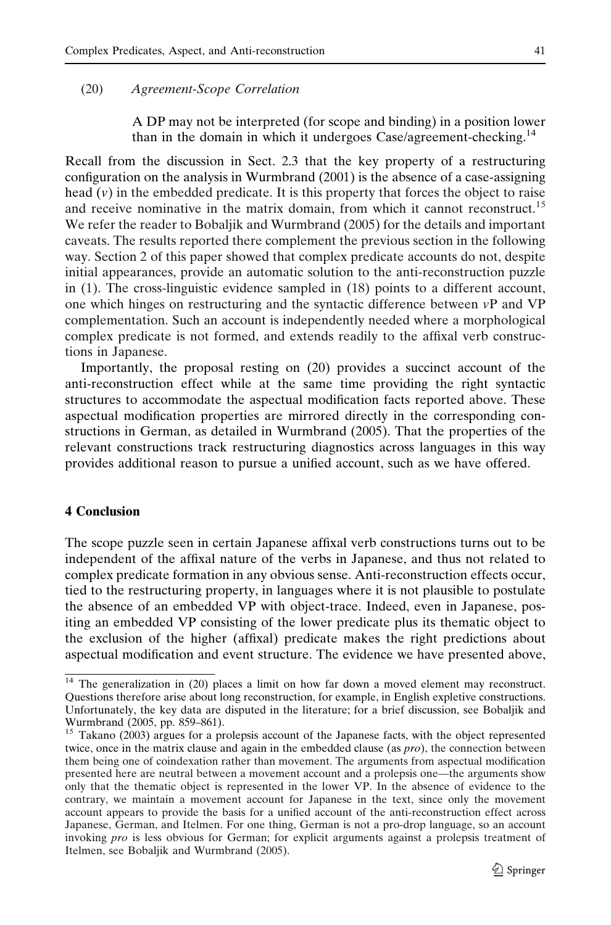## (20) Agreement-Scope Correlation

A DP may not be interpreted (for scope and binding) in a position lower than in the domain in which it undergoes Case/agreement-checking.<sup>14</sup>

Recall from the discussion in Sect. 2.3 that the key property of a restructuring configuration on the analysis in Wurmbrand (2001) is the absence of a case-assigning head  $(v)$  in the embedded predicate. It is this property that forces the object to raise and receive nominative in the matrix domain, from which it cannot reconstruct.<sup>15</sup> We refer the reader to Bobaljik and Wurmbrand (2005) for the details and important caveats. The results reported there complement the previous section in the following way. Section 2 of this paper showed that complex predicate accounts do not, despite initial appearances, provide an automatic solution to the anti-reconstruction puzzle in (1). The cross-linguistic evidence sampled in (18) points to a different account, one which hinges on restructuring and the syntactic difference between  $vP$  and VP complementation. Such an account is independently needed where a morphological complex predicate is not formed, and extends readily to the affixal verb constructions in Japanese.

Importantly, the proposal resting on (20) provides a succinct account of the anti-reconstruction effect while at the same time providing the right syntactic structures to accommodate the aspectual modification facts reported above. These aspectual modification properties are mirrored directly in the corresponding constructions in German, as detailed in Wurmbrand (2005). That the properties of the relevant constructions track restructuring diagnostics across languages in this way provides additional reason to pursue a unified account, such as we have offered.

# 4 Conclusion

The scope puzzle seen in certain Japanese affixal verb constructions turns out to be independent of the affixal nature of the verbs in Japanese, and thus not related to complex predicate formation in any obvious sense. Anti-reconstruction effects occur, tied to the restructuring property, in languages where it is not plausible to postulate the absence of an embedded VP with object-trace. Indeed, even in Japanese, positing an embedded VP consisting of the lower predicate plus its thematic object to the exclusion of the higher (affixal) predicate makes the right predictions about aspectual modification and event structure. The evidence we have presented above,

 $\frac{14}{14}$  The generalization in (20) places a limit on how far down a moved element may reconstruct. Questions therefore arise about long reconstruction, for example, in English expletive constructions. Unfortunately, the key data are disputed in the literature; for a brief discussion, see Bobaljik and Wurmbrand (2005, pp. 859–861).

<sup>&</sup>lt;sup>15</sup> Takano (2003) argues for a prolepsis account of the Japanese facts, with the object represented twice, once in the matrix clause and again in the embedded clause (as  $pro$ ), the connection between them being one of coindexation rather than movement. The arguments from aspectual modification presented here are neutral between a movement account and a prolepsis one—the arguments show only that the thematic object is represented in the lower VP. In the absence of evidence to the contrary, we maintain a movement account for Japanese in the text, since only the movement account appears to provide the basis for a unified account of the anti-reconstruction effect across Japanese, German, and Itelmen. For one thing, German is not a pro-drop language, so an account invoking pro is less obvious for German; for explicit arguments against a prolepsis treatment of Itelmen, see Bobaljik and Wurmbrand (2005).